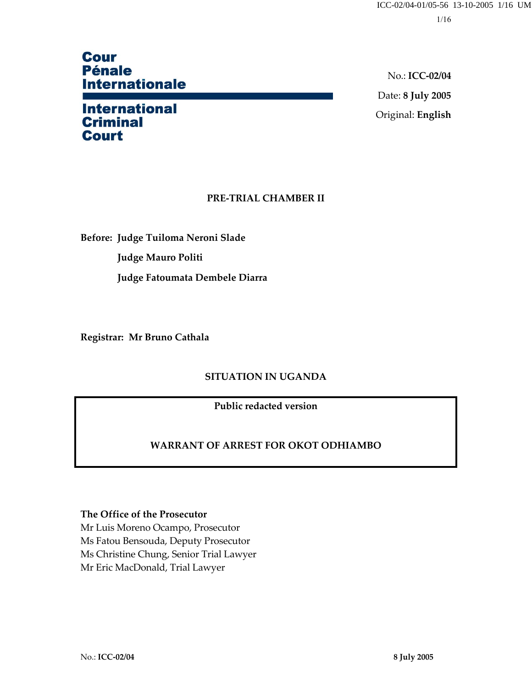# **Cour Pénale Internationale**

# **International Criminal Court**

No.: **ICC-02/04** Date: **8 July 2005** Original: **English**

## **PRE-TRIAL CHAMBER II**

**Before: Judge Tuiloma Neroni Slade Judge Mauro Politi Judge Fatoumata Dembele Diarra** 

**Registrar: Mr Bruno Cathala** 

## **SITUATION IN UGANDA**

**Public redacted version** 

## **WARRANT OF ARREST FOR OKOT ODHIAMBO**

### **The Office of the Prosecutor**

Mr Luis Moreno Ocampo, Prosecutor Ms Fatou Bensouda, Deputy Prosecutor Ms Christine Chung, Senior Trial Lawyer Mr Eric MacDonald, Trial Lawyer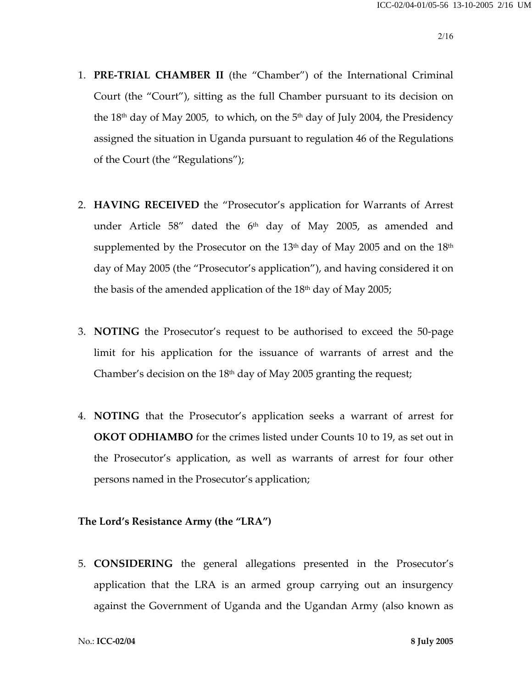- 1. **PRE-TRIAL CHAMBER II** (the "Chamber") of the International Criminal Court (the "Court"), sitting as the full Chamber pursuant to its decision on the  $18<sup>th</sup>$  day of May 2005, to which, on the  $5<sup>th</sup>$  day of July 2004, the Presidency assigned the situation in Uganda pursuant to regulation 46 of the Regulations of the Court (the "Regulations");
- 2. **HAVING RECEIVED** the "Prosecutor's application for Warrants of Arrest under Article  $58''$  dated the  $6<sup>th</sup>$  day of May 2005, as amended and supplemented by the Prosecutor on the  $13<sup>th</sup>$  day of May 2005 and on the  $18<sup>th</sup>$ day of May 2005 (the "Prosecutor's application"), and having considered it on the basis of the amended application of the  $18<sup>th</sup>$  day of May 2005;
- 3. **NOTING** the Prosecutor's request to be authorised to exceed the 50-page limit for his application for the issuance of warrants of arrest and the Chamber's decision on the  $18<sup>th</sup>$  day of May 2005 granting the request;
- 4. **NOTING** that the Prosecutor's application seeks a warrant of arrest for **OKOT ODHIAMBO** for the crimes listed under Counts 10 to 19, as set out in the Prosecutor's application, as well as warrants of arrest for four other persons named in the Prosecutor's application;

## **The Lord's Resistance Army (the "LRA")**

5. **CONSIDERING** the general allegations presented in the Prosecutor's application that the LRA is an armed group carrying out an insurgency against the Government of Uganda and the Ugandan Army (also known as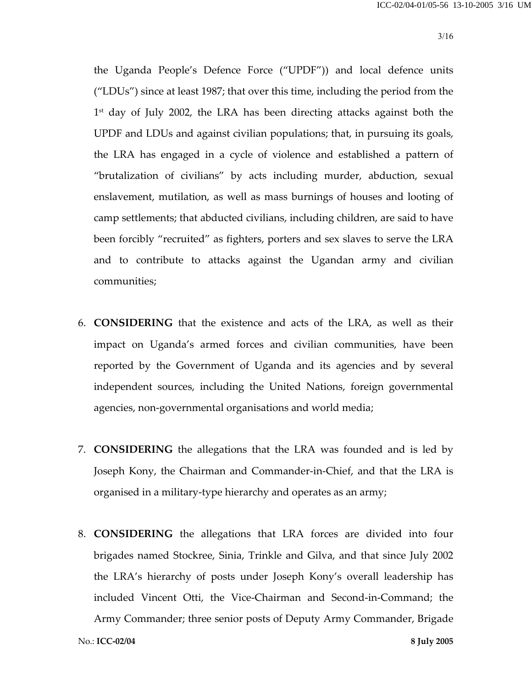the Uganda People's Defence Force ("UPDF")) and local defence units ("LDUs") since at least 1987; that over this time, including the period from the 1st day of July 2002, the LRA has been directing attacks against both the UPDF and LDUs and against civilian populations; that, in pursuing its goals, the LRA has engaged in a cycle of violence and established a pattern of "brutalization of civilians" by acts including murder, abduction, sexual enslavement, mutilation, as well as mass burnings of houses and looting of camp settlements; that abducted civilians, including children, are said to have been forcibly "recruited" as fighters, porters and sex slaves to serve the LRA and to contribute to attacks against the Ugandan army and civilian communities;

- 6. **CONSIDERING** that the existence and acts of the LRA, as well as their impact on Uganda's armed forces and civilian communities, have been reported by the Government of Uganda and its agencies and by several independent sources, including the United Nations, foreign governmental agencies, non-governmental organisations and world media;
- 7. **CONSIDERING** the allegations that the LRA was founded and is led by Joseph Kony, the Chairman and Commander-in-Chief, and that the LRA is organised in a military-type hierarchy and operates as an army;
- 8. **CONSIDERING** the allegations that LRA forces are divided into four brigades named Stockree, Sinia, Trinkle and Gilva, and that since July 2002 the LRA's hierarchy of posts under Joseph Kony's overall leadership has included Vincent Otti, the Vice-Chairman and Second-in-Command; the Army Commander; three senior posts of Deputy Army Commander, Brigade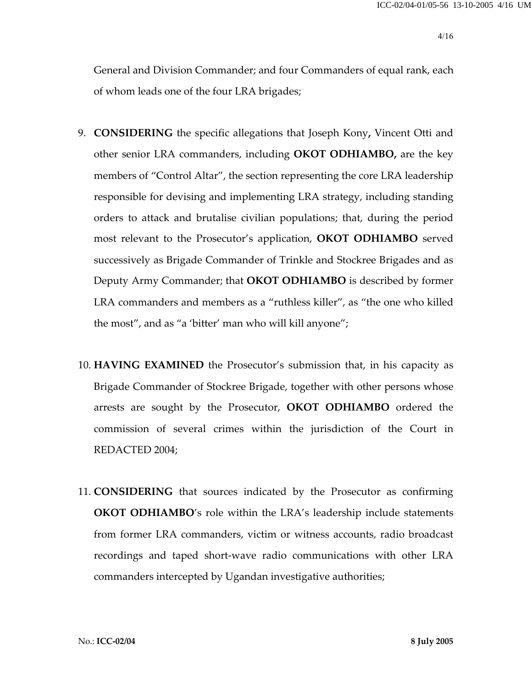General and Division Commander; and four Commanders of equal rank, each of whom leads one of the four LRA brigades;

- 9. **CONSIDERING** the specific allegations that Joseph Kony**,** Vincent Otti and other senior LRA commanders, including **OKOT ODHIAMBO,** are the key members of "Control Altar", the section representing the core LRA leadership responsible for devising and implementing LRA strategy, including standing orders to attack and brutalise civilian populations; that, during the period most relevant to the Prosecutor's application, **OKOT ODHIAMBO** served successively as Brigade Commander of Trinkle and Stockree Brigades and as Deputy Army Commander; that **OKOT ODHIAMBO** is described by former LRA commanders and members as a "ruthless killer", as "the one who killed the most", and as "a 'bitter' man who will kill anyone";
- 10. **HAVING EXAMINED** the Prosecutor's submission that, in his capacity as Brigade Commander of Stockree Brigade, together with other persons whose arrests are sought by the Prosecutor, **OKOT ODHIAMBO** ordered the commission of several crimes within the jurisdiction of the Court in REDACTED 2004;
- 11. **CONSIDERING** that sources indicated by the Prosecutor as confirming **OKOT ODHIAMBO**'s role within the LRA's leadership include statements from former LRA commanders, victim or witness accounts, radio broadcast recordings and taped short-wave radio communications with other LRA commanders intercepted by Ugandan investigative authorities;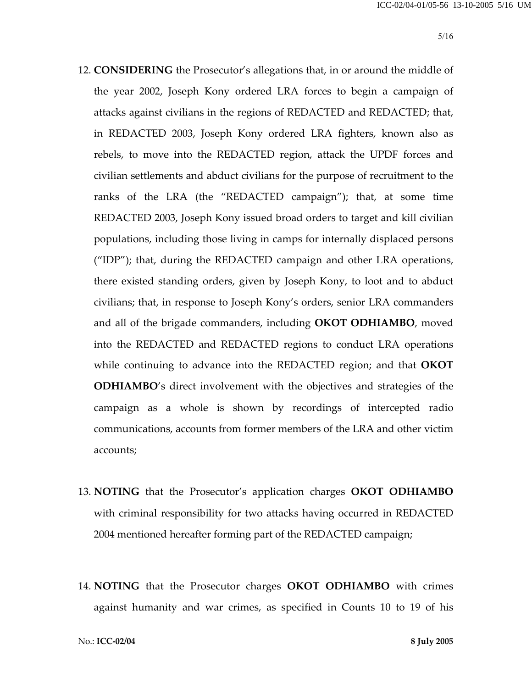- 12. **CONSIDERING** the Prosecutor's allegations that, in or around the middle of the year 2002, Joseph Kony ordered LRA forces to begin a campaign of attacks against civilians in the regions of REDACTED and REDACTED; that, in REDACTED 2003, Joseph Kony ordered LRA fighters, known also as rebels, to move into the REDACTED region, attack the UPDF forces and civilian settlements and abduct civilians for the purpose of recruitment to the ranks of the LRA (the "REDACTED campaign"); that, at some time REDACTED 2003, Joseph Kony issued broad orders to target and kill civilian populations, including those living in camps for internally displaced persons ("IDP"); that, during the REDACTED campaign and other LRA operations, there existed standing orders, given by Joseph Kony, to loot and to abduct civilians; that, in response to Joseph Kony's orders, senior LRA commanders and all of the brigade commanders, including **OKOT ODHIAMBO**, moved into the REDACTED and REDACTED regions to conduct LRA operations while continuing to advance into the REDACTED region; and that **OKOT ODHIAMBO**'s direct involvement with the objectives and strategies of the campaign as a whole is shown by recordings of intercepted radio communications, accounts from former members of the LRA and other victim accounts;
- 13. **NOTING** that the Prosecutor's application charges **OKOT ODHIAMBO** with criminal responsibility for two attacks having occurred in REDACTED 2004 mentioned hereafter forming part of the REDACTED campaign;
- 14. **NOTING** that the Prosecutor charges **OKOT ODHIAMBO** with crimes against humanity and war crimes, as specified in Counts 10 to 19 of his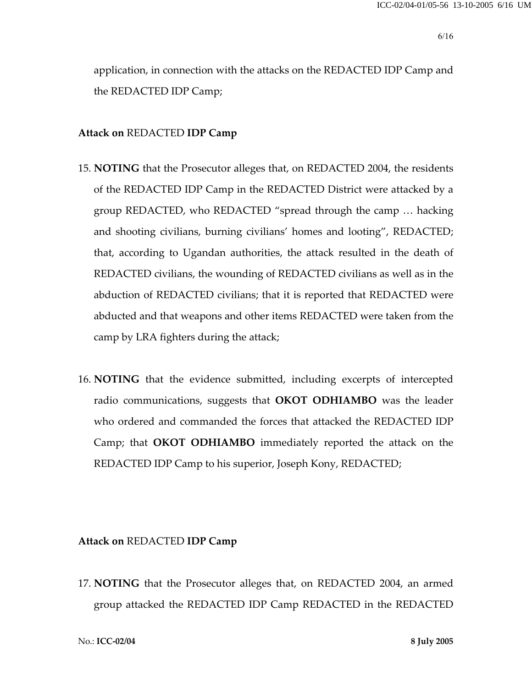application, in connection with the attacks on the REDACTED IDP Camp and the REDACTED IDP Camp;

#### **Attack on** REDACTED **IDP Camp**

- 15. **NOTING** that the Prosecutor alleges that, on REDACTED 2004, the residents of the REDACTED IDP Camp in the REDACTED District were attacked by a group REDACTED, who REDACTED "spread through the camp … hacking and shooting civilians, burning civilians' homes and looting", REDACTED; that, according to Ugandan authorities, the attack resulted in the death of REDACTED civilians, the wounding of REDACTED civilians as well as in the abduction of REDACTED civilians; that it is reported that REDACTED were abducted and that weapons and other items REDACTED were taken from the camp by LRA fighters during the attack;
- 16. **NOTING** that the evidence submitted, including excerpts of intercepted radio communications, suggests that **OKOT ODHIAMBO** was the leader who ordered and commanded the forces that attacked the REDACTED IDP Camp; that **OKOT ODHIAMBO** immediately reported the attack on the REDACTED IDP Camp to his superior, Joseph Kony, REDACTED;

#### **Attack on** REDACTED **IDP Camp**

17. **NOTING** that the Prosecutor alleges that, on REDACTED 2004, an armed group attacked the REDACTED IDP Camp REDACTED in the REDACTED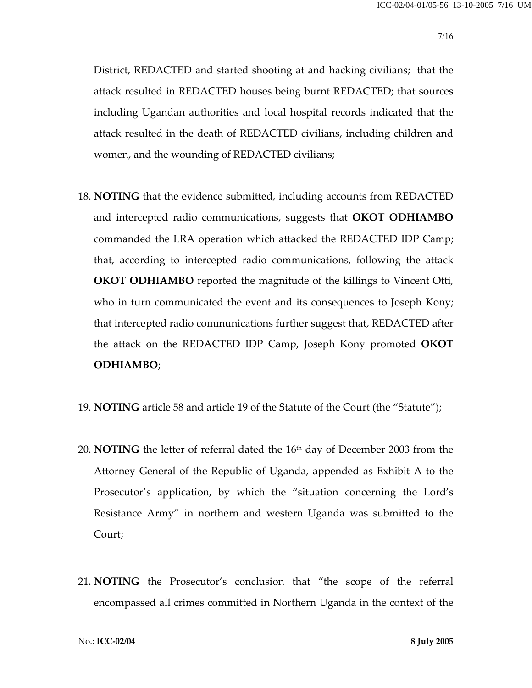District, REDACTED and started shooting at and hacking civilians; that the attack resulted in REDACTED houses being burnt REDACTED; that sources including Ugandan authorities and local hospital records indicated that the attack resulted in the death of REDACTED civilians, including children and women, and the wounding of REDACTED civilians;

- 18. **NOTING** that the evidence submitted, including accounts from REDACTED and intercepted radio communications, suggests that **OKOT ODHIAMBO** commanded the LRA operation which attacked the REDACTED IDP Camp; that, according to intercepted radio communications, following the attack **OKOT ODHIAMBO** reported the magnitude of the killings to Vincent Otti, who in turn communicated the event and its consequences to Joseph Kony; that intercepted radio communications further suggest that, REDACTED after the attack on the REDACTED IDP Camp, Joseph Kony promoted **OKOT ODHIAMBO**;
- 19. **NOTING** article 58 and article 19 of the Statute of the Court (the "Statute");
- 20. **NOTING** the letter of referral dated the 16th day of December 2003 from the Attorney General of the Republic of Uganda, appended as Exhibit A to the Prosecutor's application, by which the "situation concerning the Lord's Resistance Army" in northern and western Uganda was submitted to the Court;
- 21. **NOTING** the Prosecutor's conclusion that "the scope of the referral encompassed all crimes committed in Northern Uganda in the context of the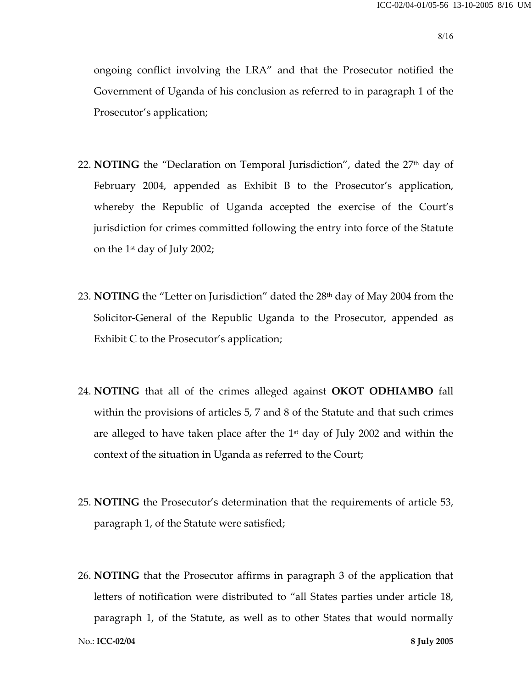ongoing conflict involving the LRA" and that the Prosecutor notified the Government of Uganda of his conclusion as referred to in paragraph 1 of the Prosecutor's application;

- 22. **NOTING** the "Declaration on Temporal Jurisdiction", dated the 27<sup>th</sup> day of February 2004, appended as Exhibit B to the Prosecutor's application, whereby the Republic of Uganda accepted the exercise of the Court's jurisdiction for crimes committed following the entry into force of the Statute on the 1st day of July 2002;
- 23. **NOTING** the "Letter on Jurisdiction" dated the 28<sup>th</sup> day of May 2004 from the Solicitor-General of the Republic Uganda to the Prosecutor, appended as Exhibit C to the Prosecutor's application;
- 24. **NOTING** that all of the crimes alleged against **OKOT ODHIAMBO** fall within the provisions of articles 5, 7 and 8 of the Statute and that such crimes are alleged to have taken place after the  $1<sup>st</sup>$  day of July 2002 and within the context of the situation in Uganda as referred to the Court;
- 25. **NOTING** the Prosecutor's determination that the requirements of article 53, paragraph 1, of the Statute were satisfied;
- 26. **NOTING** that the Prosecutor affirms in paragraph 3 of the application that letters of notification were distributed to "all States parties under article 18, paragraph 1, of the Statute, as well as to other States that would normally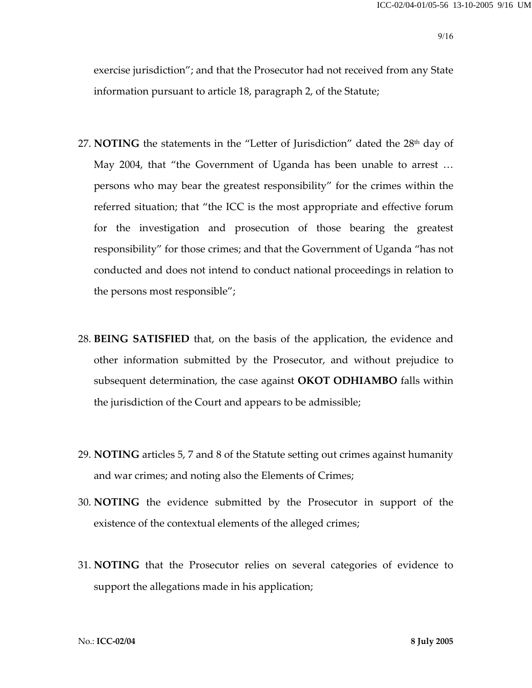exercise jurisdiction"; and that the Prosecutor had not received from any State information pursuant to article 18, paragraph 2, of the Statute;

- 27. **NOTING** the statements in the "Letter of Jurisdiction" dated the 28<sup>th</sup> day of May 2004, that "the Government of Uganda has been unable to arrest … persons who may bear the greatest responsibility" for the crimes within the referred situation; that "the ICC is the most appropriate and effective forum for the investigation and prosecution of those bearing the greatest responsibility" for those crimes; and that the Government of Uganda "has not conducted and does not intend to conduct national proceedings in relation to the persons most responsible";
- 28. **BEING SATISFIED** that, on the basis of the application, the evidence and other information submitted by the Prosecutor, and without prejudice to subsequent determination, the case against **OKOT ODHIAMBO** falls within the jurisdiction of the Court and appears to be admissible;
- 29. **NOTING** articles 5, 7 and 8 of the Statute setting out crimes against humanity and war crimes; and noting also the Elements of Crimes;
- 30. **NOTING** the evidence submitted by the Prosecutor in support of the existence of the contextual elements of the alleged crimes;
- 31. **NOTING** that the Prosecutor relies on several categories of evidence to support the allegations made in his application;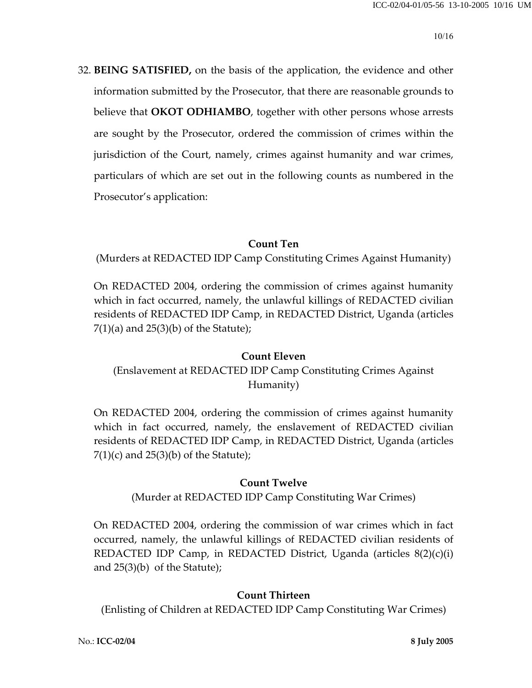32. **BEING SATISFIED,** on the basis of the application, the evidence and other information submitted by the Prosecutor, that there are reasonable grounds to believe that **OKOT ODHIAMBO**, together with other persons whose arrests are sought by the Prosecutor, ordered the commission of crimes within the jurisdiction of the Court, namely, crimes against humanity and war crimes, particulars of which are set out in the following counts as numbered in the Prosecutor's application:

## **Count Ten**

(Murders at REDACTED IDP Camp Constituting Crimes Against Humanity)

On REDACTED 2004, ordering the commission of crimes against humanity which in fact occurred, namely, the unlawful killings of REDACTED civilian residents of REDACTED IDP Camp, in REDACTED District, Uganda (articles  $7(1)(a)$  and  $25(3)(b)$  of the Statute);

## **Count Eleven**

(Enslavement at REDACTED IDP Camp Constituting Crimes Against Humanity)

On REDACTED 2004, ordering the commission of crimes against humanity which in fact occurred, namely, the enslavement of REDACTED civilian residents of REDACTED IDP Camp, in REDACTED District, Uganda (articles  $7(1)(c)$  and  $25(3)(b)$  of the Statute);

### **Count Twelve**

(Murder at REDACTED IDP Camp Constituting War Crimes)

On REDACTED 2004, ordering the commission of war crimes which in fact occurred, namely, the unlawful killings of REDACTED civilian residents of REDACTED IDP Camp, in REDACTED District, Uganda (articles 8(2)(c)(i) and 25(3)(b) of the Statute);

### **Count Thirteen**

(Enlisting of Children at REDACTED IDP Camp Constituting War Crimes)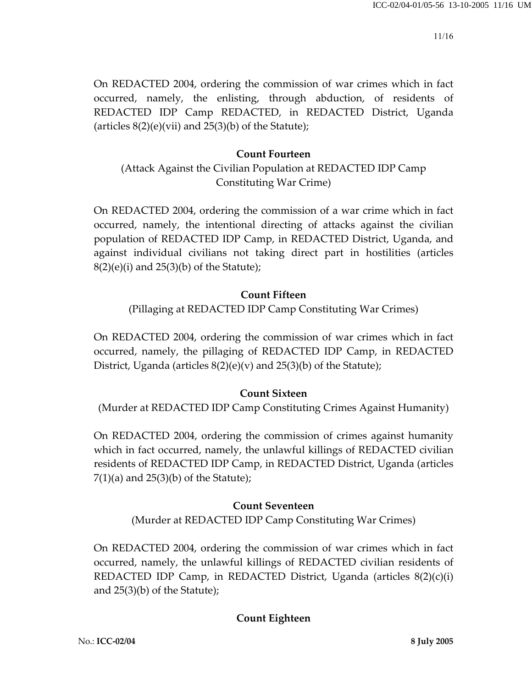On REDACTED 2004, ordering the commission of war crimes which in fact occurred, namely, the enlisting, through abduction, of residents of REDACTED IDP Camp REDACTED, in REDACTED District, Uganda (articles  $8(2)(e)(vi)$  and  $25(3)(b)$  of the Statute);

## **Count Fourteen**

## (Attack Against the Civilian Population at REDACTED IDP Camp Constituting War Crime)

On REDACTED 2004, ordering the commission of a war crime which in fact occurred, namely, the intentional directing of attacks against the civilian population of REDACTED IDP Camp, in REDACTED District, Uganda, and against individual civilians not taking direct part in hostilities (articles  $8(2)(e)(i)$  and  $25(3)(b)$  of the Statute);

## **Count Fifteen**

(Pillaging at REDACTED IDP Camp Constituting War Crimes)

On REDACTED 2004, ordering the commission of war crimes which in fact occurred, namely, the pillaging of REDACTED IDP Camp, in REDACTED District, Uganda (articles  $8(2)(e)(v)$  and  $25(3)(b)$  of the Statute);

## **Count Sixteen**

(Murder at REDACTED IDP Camp Constituting Crimes Against Humanity)

On REDACTED 2004, ordering the commission of crimes against humanity which in fact occurred, namely, the unlawful killings of REDACTED civilian residents of REDACTED IDP Camp, in REDACTED District, Uganda (articles  $7(1)(a)$  and  $25(3)(b)$  of the Statute);

## **Count Seventeen**

(Murder at REDACTED IDP Camp Constituting War Crimes)

On REDACTED 2004, ordering the commission of war crimes which in fact occurred, namely, the unlawful killings of REDACTED civilian residents of REDACTED IDP Camp, in REDACTED District, Uganda (articles 8(2)(c)(i) and 25(3)(b) of the Statute);

## **Count Eighteen**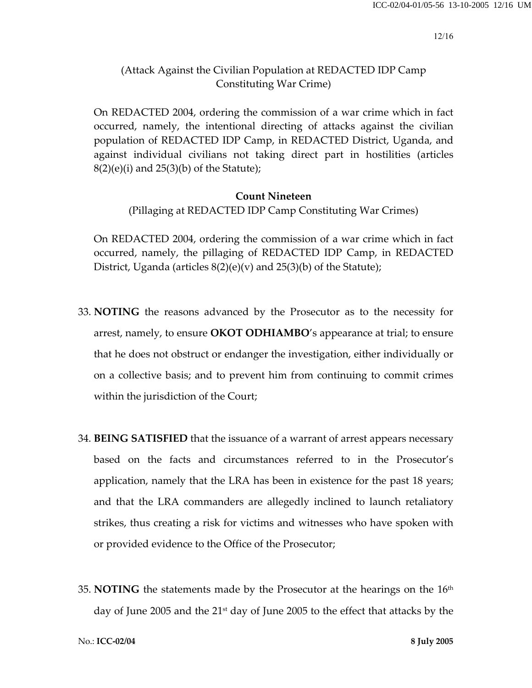## (Attack Against the Civilian Population at REDACTED IDP Camp Constituting War Crime)

On REDACTED 2004, ordering the commission of a war crime which in fact occurred, namely, the intentional directing of attacks against the civilian population of REDACTED IDP Camp, in REDACTED District, Uganda, and against individual civilians not taking direct part in hostilities (articles  $8(2)(e)(i)$  and  $25(3)(b)$  of the Statute);

#### **Count Nineteen**

(Pillaging at REDACTED IDP Camp Constituting War Crimes)

On REDACTED 2004, ordering the commission of a war crime which in fact occurred, namely, the pillaging of REDACTED IDP Camp, in REDACTED District, Uganda (articles  $8(2)(e)(v)$  and  $25(3)(b)$  of the Statute);

- 33. **NOTING** the reasons advanced by the Prosecutor as to the necessity for arrest, namely, to ensure **OKOT ODHIAMBO**'s appearance at trial; to ensure that he does not obstruct or endanger the investigation, either individually or on a collective basis; and to prevent him from continuing to commit crimes within the jurisdiction of the Court;
- 34. **BEING SATISFIED** that the issuance of a warrant of arrest appears necessary based on the facts and circumstances referred to in the Prosecutor's application, namely that the LRA has been in existence for the past 18 years; and that the LRA commanders are allegedly inclined to launch retaliatory strikes, thus creating a risk for victims and witnesses who have spoken with or provided evidence to the Office of the Prosecutor;
- 35. **NOTING** the statements made by the Prosecutor at the hearings on the  $16<sup>th</sup>$ day of June 2005 and the 21<sup>st</sup> day of June 2005 to the effect that attacks by the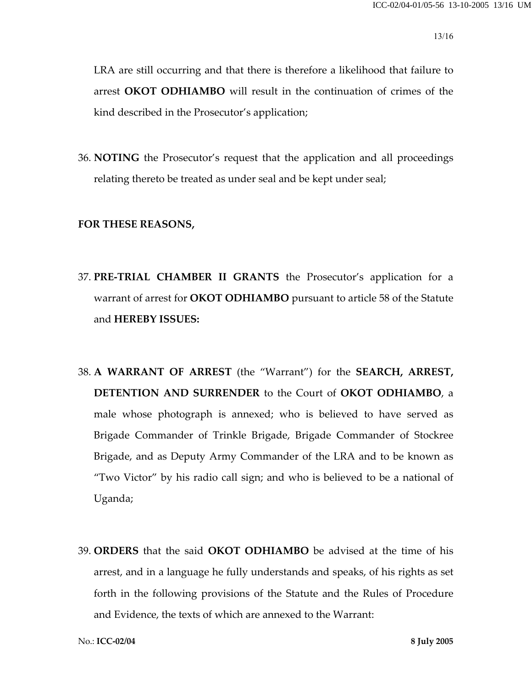LRA are still occurring and that there is therefore a likelihood that failure to arrest **OKOT ODHIAMBO** will result in the continuation of crimes of the kind described in the Prosecutor's application;

36. **NOTING** the Prosecutor's request that the application and all proceedings relating thereto be treated as under seal and be kept under seal;

#### **FOR THESE REASONS,**

- 37. **PRE-TRIAL CHAMBER II GRANTS** the Prosecutor's application for a warrant of arrest for **OKOT ODHIAMBO** pursuant to article 58 of the Statute and **HEREBY ISSUES:**
- 38. **A WARRANT OF ARREST** (the "Warrant") for the **SEARCH, ARREST, DETENTION AND SURRENDER** to the Court of **OKOT ODHIAMBO**, a male whose photograph is annexed; who is believed to have served as Brigade Commander of Trinkle Brigade, Brigade Commander of Stockree Brigade, and as Deputy Army Commander of the LRA and to be known as "Two Victor" by his radio call sign; and who is believed to be a national of Uganda;
- 39. **ORDERS** that the said **OKOT ODHIAMBO** be advised at the time of his arrest, and in a language he fully understands and speaks, of his rights as set forth in the following provisions of the Statute and the Rules of Procedure and Evidence, the texts of which are annexed to the Warrant: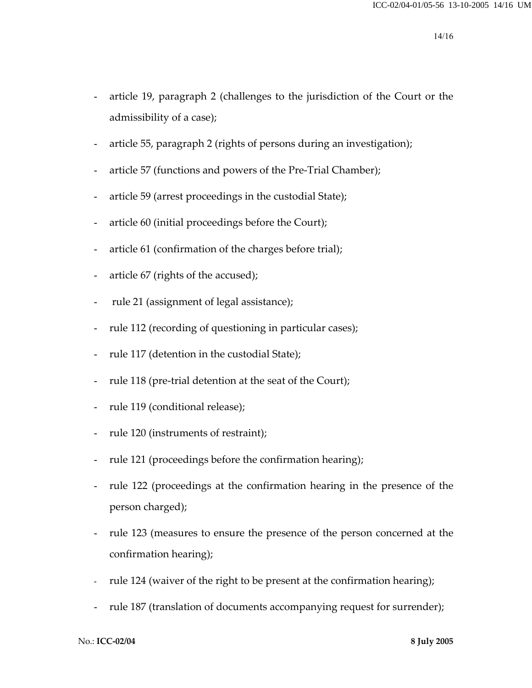- article 19, paragraph 2 (challenges to the jurisdiction of the Court or the admissibility of a case);
- article 55, paragraph 2 (rights of persons during an investigation);
- article 57 (functions and powers of the Pre-Trial Chamber);
- article 59 (arrest proceedings in the custodial State);
- article 60 (initial proceedings before the Court);
- article 61 (confirmation of the charges before trial);
- article 67 (rights of the accused);
- rule 21 (assignment of legal assistance);
- rule 112 (recording of questioning in particular cases);
- rule 117 (detention in the custodial State);
- rule 118 (pre-trial detention at the seat of the Court);
- rule 119 (conditional release);
- rule 120 (instruments of restraint);
- rule 121 (proceedings before the confirmation hearing);
- rule 122 (proceedings at the confirmation hearing in the presence of the person charged);
- rule 123 (measures to ensure the presence of the person concerned at the confirmation hearing);
- rule 124 (waiver of the right to be present at the confirmation hearing);
- rule 187 (translation of documents accompanying request for surrender);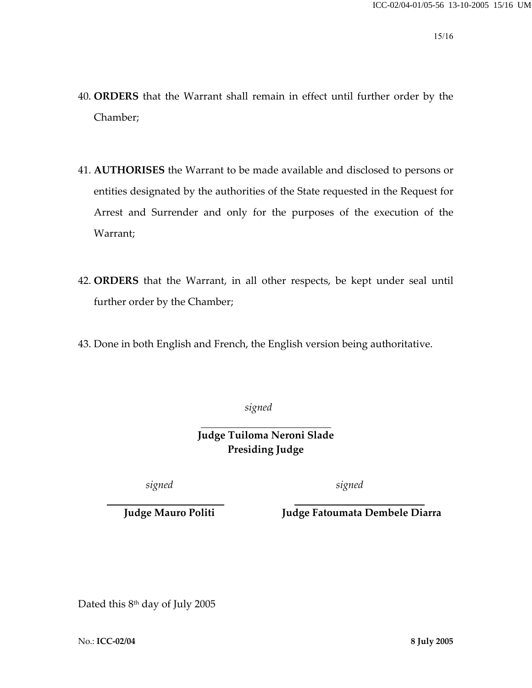- 40. **ORDERS** that the Warrant shall remain in effect until further order by the Chamber;
- 41. **AUTHORISES** the Warrant to be made available and disclosed to persons or entities designated by the authorities of the State requested in the Request for Arrest and Surrender and only for the purposes of the execution of the Warrant;
- 42. **ORDERS** that the Warrant, in all other respects, be kept under seal until further order by the Chamber;
- 43. Done in both English and French, the English version being authoritative.

 *signed* 

 **Judge Tuiloma Neroni Slade Presiding Judge** 

*signed signed* 

**Judge Mauro Politi Judge Fatoumata Dembele Diarra**

Dated this 8<sup>th</sup> day of July 2005